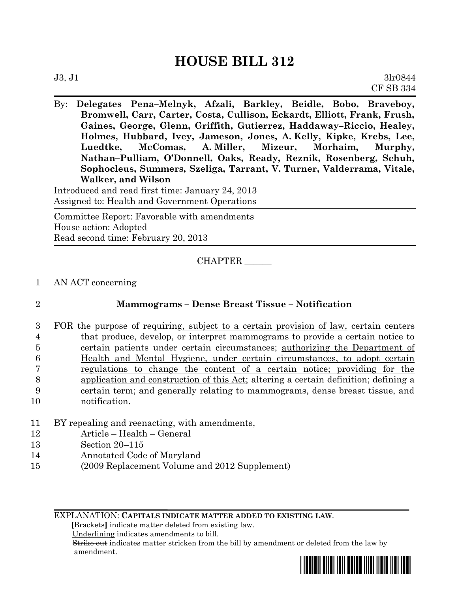## **HOUSE BILL 312**

By: **Delegates Pena–Melnyk, Afzali, Barkley, Beidle, Bobo, Braveboy, Bromwell, Carr, Carter, Costa, Cullison, Eckardt, Elliott, Frank, Frush, Gaines, George, Glenn, Griffith, Gutierrez, Haddaway–Riccio, Healey, Holmes, Hubbard, Ivey, Jameson, Jones, A. Kelly, Kipke, Krebs, Lee, Luedtke, McComas, A. Miller, Mizeur, Morhaim, Murphy, Nathan–Pulliam, O'Donnell, Oaks, Ready, Reznik, Rosenberg, Schuh, Sophocleus, Summers, Szeliga, Tarrant, V. Turner, Valderrama, Vitale, Walker, and Wilson**

Introduced and read first time: January 24, 2013 Assigned to: Health and Government Operations

Committee Report: Favorable with amendments House action: Adopted Read second time: February 20, 2013

CHAPTER \_\_\_\_\_\_

1 AN ACT concerning

| ł |
|---|
|   |
|   |

## 2 **Mammograms – Dense Breast Tissue – Notification**

- 3 FOR the purpose of requiring, subject to a certain provision of law, certain centers 4 that produce, develop, or interpret mammograms to provide a certain notice to 5 certain patients under certain circumstances; authorizing the Department of 6 Health and Mental Hygiene, under certain circumstances, to adopt certain 7 regulations to change the content of a certain notice; providing for the 8 application and construction of this Act; altering a certain definition; defining a 9 certain term; and generally relating to mammograms, dense breast tissue, and 10 notification.
- 11 BY repealing and reenacting, with amendments,
- 12 Article Health General
- 13 Section 20–115
- 14 Annotated Code of Maryland
- 15 (2009 Replacement Volume and 2012 Supplement)

EXPLANATION: **CAPITALS INDICATE MATTER ADDED TO EXISTING LAW**.

 **[**Brackets**]** indicate matter deleted from existing law.

Underlining indicates amendments to bill.

 Strike out indicates matter stricken from the bill by amendment or deleted from the law by amendment.

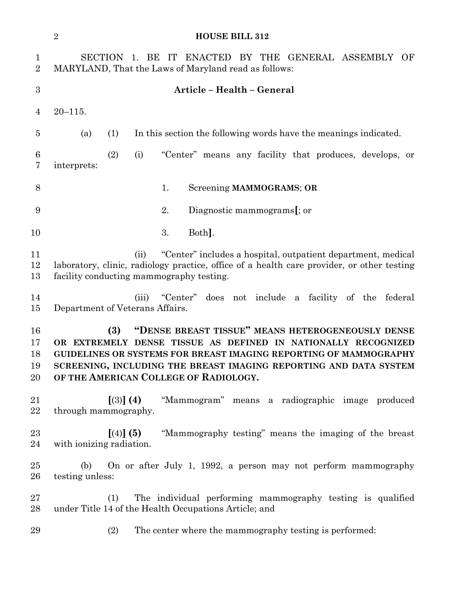|                               | $\sqrt{2}$<br><b>HOUSE BILL 312</b>                                                                                                                                                                                                                                                                          |
|-------------------------------|--------------------------------------------------------------------------------------------------------------------------------------------------------------------------------------------------------------------------------------------------------------------------------------------------------------|
| $\mathbf 1$<br>$\overline{2}$ | 1. BE IT ENACTED BY THE GENERAL ASSEMBLY OF<br><b>SECTION</b><br>MARYLAND, That the Laws of Maryland read as follows:                                                                                                                                                                                        |
| $\boldsymbol{3}$              | Article - Health - General                                                                                                                                                                                                                                                                                   |
| 4                             | $20 - 115$ .                                                                                                                                                                                                                                                                                                 |
| 5                             | (1)<br>In this section the following words have the meanings indicated.<br>(a)                                                                                                                                                                                                                               |
| 6<br>7                        | (2)<br>(i)<br>"Center" means any facility that produces, develops, or<br>interprets:                                                                                                                                                                                                                         |
| 8                             | Screening MAMMOGRAMS; OR<br>1.                                                                                                                                                                                                                                                                               |
| 9                             | 2.<br>Diagnostic mammograms[; or                                                                                                                                                                                                                                                                             |
| 10                            | 3.<br>Both.                                                                                                                                                                                                                                                                                                  |
| 11<br>12<br>13                | "Center" includes a hospital, outpatient department, medical<br>(ii)<br>laboratory, clinic, radiology practice, office of a health care provider, or other testing<br>facility conducting mammography testing.                                                                                               |
| 14<br>15                      | does not include a facility of the federal<br>(iii)<br>"Center"<br>Department of Veterans Affairs.                                                                                                                                                                                                           |
| 16<br>17<br>18<br>19<br>20    | "DENSE BREAST TISSUE" MEANS HETEROGENEOUSLY DENSE<br>(3)<br>OR EXTREMELY DENSE TISSUE AS DEFINED IN NATIONALLY RECOGNIZED<br>GUIDELINES OR SYSTEMS FOR BREAST IMAGING REPORTING OF MAMMOGRAPHY<br>SCREENING, INCLUDING THE BREAST IMAGING REPORTING AND DATA SYSTEM<br>OF THE AMERICAN COLLEGE OF RADIOLOGY. |
| 21<br>22                      | [(3)] (4) "Mammogram" means a radiographic image produced<br>through mammography.                                                                                                                                                                                                                            |
| 23<br>24                      | "Mammography testing" means the imaging of the breast<br>[(4)] (5)<br>with ionizing radiation.                                                                                                                                                                                                               |
| $25\,$<br>26                  | On or after July 1, 1992, a person may not perform mammography<br>(b)<br>testing unless:                                                                                                                                                                                                                     |
| $27\,$<br>28                  | The individual performing mammography testing is qualified<br>(1)<br>under Title 14 of the Health Occupations Article; and                                                                                                                                                                                   |
| 29                            | (2)<br>The center where the mammography testing is performed:                                                                                                                                                                                                                                                |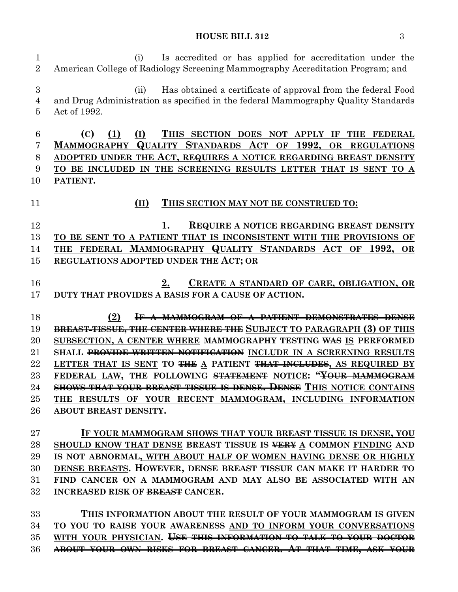## **HOUSE BILL 312** 3

 (i) Is accredited or has applied for accreditation under the American College of Radiology Screening Mammography Accreditation Program; and (ii) Has obtained a certificate of approval from the federal Food and Drug Administration as specified in the federal Mammography Quality Standards Act of 1992. **(C) (1) (I) THIS SECTION DOES NOT APPLY IF THE FEDERAL MAMMOGRAPHY QUALITY STANDARDS ACT OF 1992, OR REGULATIONS ADOPTED UNDER THE ACT, REQUIRES A NOTICE REGARDING BREAST DENSITY TO BE INCLUDED IN THE SCREENING RESULTS LETTER THAT IS SENT TO A PATIENT. (II) THIS SECTION MAY NOT BE CONSTRUED TO: 1. REQUIRE A NOTICE REGARDING BREAST DENSITY TO BE SENT TO A PATIENT THAT IS INCONSISTENT WITH THE PROVISIONS OF THE FEDERAL MAMMOGRAPHY QUALITY STANDARDS ACT OF 1992, OR REGULATIONS ADOPTED UNDER THE ACT; OR 2. CREATE A STANDARD OF CARE, OBLIGATION, OR DUTY THAT PROVIDES A BASIS FOR A CAUSE OF ACTION. (2) IF A MAMMOGRAM OF A PATIENT DEMONSTRATES DENSE BREAST TISSUE, THE CENTER WHERE THE SUBJECT TO PARAGRAPH (3) OF THIS SUBSECTION, A CENTER WHERE MAMMOGRAPHY TESTING WAS IS PERFORMED SHALL PROVIDE WRITTEN NOTIFICATION INCLUDE IN A SCREENING RESULTS LETTER THAT IS SENT TO THE A PATIENT THAT INCLUDES, AS REQUIRED BY FEDERAL LAW, THE FOLLOWING STATEMENT NOTICE: "YOUR MAMMOGRAM SHOWS THAT YOUR BREAST TISSUE IS DENSE. DENSE THIS NOTICE CONTAINS THE RESULTS OF YOUR RECENT MAMMOGRAM, INCLUDING INFORMATION ABOUT BREAST DENSITY. IF YOUR MAMMOGRAM SHOWS THAT YOUR BREAST TISSUE IS DENSE, YOU SHOULD KNOW THAT DENSE BREAST TISSUE IS VERY A COMMON FINDING AND IS NOT ABNORMAL, WITH ABOUT HALF OF WOMEN HAVING DENSE OR HIGHLY DENSE BREASTS. HOWEVER, DENSE BREAST TISSUE CAN MAKE IT HARDER TO FIND CANCER ON A MAMMOGRAM AND MAY ALSO BE ASSOCIATED WITH AN INCREASED RISK OF BREAST CANCER. THIS INFORMATION ABOUT THE RESULT OF YOUR MAMMOGRAM IS GIVEN TO YOU TO RAISE YOUR AWARENESS AND TO INFORM YOUR CONVERSATIONS WITH YOUR PHYSICIAN. USE THIS INFORMATION TO TALK TO YOUR DOCTOR ABOUT YOUR OWN RISKS FOR BREAST CANCER. AT THAT TIME, ASK YOUR**